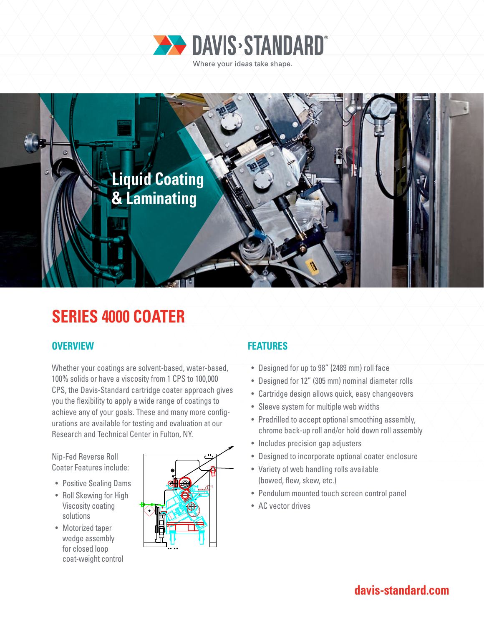



# **SERIES 4000 COATER**

#### **OVERVIEW FEATURES**

Whether your coatings are solvent-based, water-based, 100% solids or have a viscosity from 1 CPS to 100,000 CPS, the Davis-Standard cartridge coater approach gives you the flexibility to apply a wide range of coatings to achieve any of your goals. These and many more configurations are available for testing and evaluation at our Research and Technical Center in Fulton, NY.

Nip-Fed Reverse Roll Coater Features include:

- Positive Sealing Dams
- Roll Skewing for High Viscosity coating solutions
- Motorized taper wedge assembly for closed loop coat-weight control



- Designed for up to 98" (2489 mm) roll face
- Designed for 12" (305 mm) nominal diameter rolls
- Cartridge design allows quick, easy changeovers
- Sleeve system for multiple web widths
- Predrilled to accept optional smoothing assembly, chrome back-up roll and/or hold down roll assembly
- Includes precision gap adjusters
- Designed to incorporate optional coater enclosure
- Variety of web handling rolls available (bowed, flew, skew, etc.)
- Pendulum mounted touch screen control panel
- AC vector drives

## **davis-standard.com**